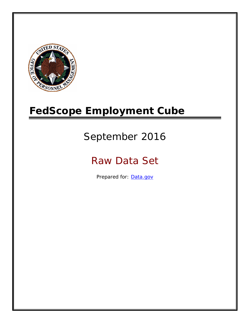

# **FedScope Employment Cube**

# September 2016

# Raw Data Set

Prepared for: [Data.gov](http://www.data.gov/)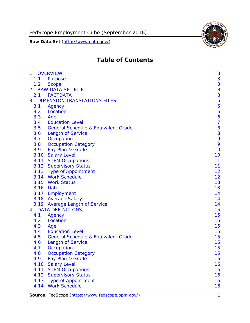

# **Table of Contents**

| $\mathbf{1}$ | <b>OVERVIEW</b>                                | 3              |
|--------------|------------------------------------------------|----------------|
| 1.1          | Purpose                                        | 3              |
| 1.2          | <b>Scope</b>                                   | 3              |
| 2            | <b>RAW DATA SET FILE</b>                       | 3              |
| 2.1          | <b>FACTDATA</b>                                | 3              |
| 3            | <b>DIMENSION TRANSLATIONS FILES</b>            | 5              |
| 3.1          | Agency                                         | 5              |
| 3.2          | Location                                       | 6              |
| 3.3          | Age                                            | 6              |
| 3.4          | <b>Education Level</b>                         | $\overline{7}$ |
| 3.5          | <b>General Schedule &amp; Equivalent Grade</b> | 8              |
| 3.6          | <b>Length of Service</b>                       | 8              |
| 3.7          | Occupation                                     | 9              |
| 3.8          | <b>Occupation Category</b>                     | 9              |
| 3.9          | Pay Plan & Grade                               | 10             |
| 3.10         | <b>Salary Level</b>                            | 10             |
|              | 3.11 STEM Occupations                          | 11             |
|              | 3.12 Supervisory Status                        | 11             |
|              | 3.13 Type of Appointment                       | 12             |
|              | 3.14 Work Schedule                             | 12             |
| 3.15         | <b>Work Status</b>                             | 13             |
|              | 3.16 Date                                      | 13             |
|              | 3.17 Employment                                | 14             |
|              | 3.18 Average Salary                            | 14             |
|              | 3.19 Average Length of Service                 | 14             |
| 4            | <b>DATA DEFINITIONS</b>                        | 15             |
| 4.1          | Agency                                         | 15             |
| 4.2          | Location                                       | 15             |
| 4.3          | Age                                            | 15             |
| 4.4          | <b>Education Level</b>                         | 15             |
| 4.5          | <b>General Schedule &amp; Equivalent Grade</b> | 15             |
| 4.6          | <b>Length of Service</b>                       | 15             |
| 4.7          | Occupation                                     | 15             |
| 4.8          | <b>Occupation Category</b>                     | 15             |
| 4.9          | Pay Plan & Grade                               | 16             |
| 4.10         | <b>Salary Level</b>                            | 16             |
| 4.11         | <b>STEM Occupations</b>                        | 16             |
| 4.12         | <b>Supervisory Status</b>                      | 16             |
| 4.13         | <b>Type of Appointment</b>                     | 16             |
| 4.14         | <b>Work Schedule</b>                           | 16             |

Source: FedScope (https://www.fedscope.opm.gov/) 1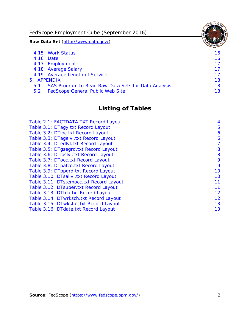FedScope Employment Cube (September 2016)

**Raw Data Set** (http://www.data.gov/)

|               | 4.15 Work Status                                    | 16 |
|---------------|-----------------------------------------------------|----|
|               | 4.16 Date                                           | 16 |
|               | 4.17 Employment                                     | 17 |
|               | 4.18 Average Salary                                 | 17 |
|               | 4.19 Average Length of Service                      | 17 |
|               | 5 APPENDIX                                          | 18 |
| 5.1           | SAS Program to Read Raw Data Sets for Data Analysis | 18 |
| $5.2^{\circ}$ | <b>FedScope General Public Web Site</b>             | 18 |

# **Listing of Tables**

| Table 2.1: FACTDATA.TXT Record Layout   | 4  |
|-----------------------------------------|----|
| Table 3.1: DTagy.txt Record Layout      | 5  |
| Table 3.2: DTloc.txt Record Layout      | 6  |
| Table 3.3: DTagelvl.txt Record Layout   | 6  |
| Table 3.4: DTedlvl.txt Record Layout    | 7  |
| Table 3.5: DTgsegrd.txt Record Layout   | 8  |
| Table 3.6: DTIoslyl.txt Record Layout   | 8  |
| Table 3.7: DTocc.txt Record Layout      | 9  |
| Table 3.8: DTpatco.txt Record Layout    | 9  |
| Table 3.9: DTppgrd.txt Record Layout    | 10 |
| Table 3.10: DTsallvl.txt Record Layout  | 10 |
| Table 3.11: DTstemocc.txt Record Layout | 11 |
| Table 3.12: DTsuper.txt Record Layout   | 11 |
| Table 3.13: DTtoa.txt Record Layout     | 12 |
| Table 3.14: DTwrksch.txt Record Layout  | 12 |
| Table 3.15: DTwkstat.txt Record Layout  | 13 |
| Table 3.16: DTdate.txt Record Layout    | 13 |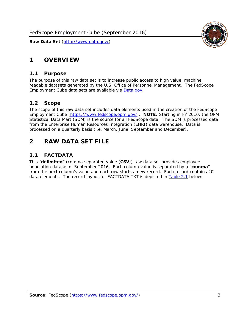# <span id="page-3-0"></span>**1 OVERVIEW**

# *1.1 Purpose*

<span id="page-3-1"></span>The purpose of this raw data set is to increase public access to high value, machine readable datasets generated by the U.S. Office of Personnel Management. The FedScope Employment Cube data sets are available via [Data.gov](http://www.data.gov/).

# <span id="page-3-2"></span>*1.2 Scope*

The scope of this raw data set includes data elements used in the creation of the FedScope Employment Cube [\(https://www.fedscope.opm.gov/\)](https://www.fedscope.opm.gov/). **NOTE**: Starting in FY 2010, the OPM Statistical Data Mart (SDM) is the source for all FedScope data. The SDM is processed data from the Enterprise Human Resources Integration (EHRI) data warehouse. Data is processed on a quarterly basis (i.e. March, June, September and December).

# <span id="page-3-3"></span>**2 RAW DATA SET FILE**

# <span id="page-3-4"></span>*2.1 FACTDATA*

This "**delimited**" (comma separated value (**CSV**)) raw data set provides employee population data as of September 2016. Each column value is separated by a "**comma**" from the next column's value and each row starts a new record. Each record contains 20 data elements. The record layout for FACTDATA.TXT is depicted in [Table 2.1](#page-4-1) below:

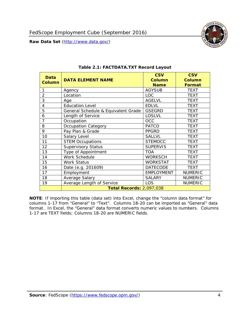<span id="page-4-1"></span><span id="page-4-0"></span>

**NOTE**: If importing this table (data set) into Excel, change the "column data format" for columns 1-17 from "General" to "Text". Columns 18-20 can be imported as "General" data format. In Excel, the "General" data format converts numeric values to numbers. Columns 1-17 are TEXT fields; Columns 18-20 are NUMERIC fields.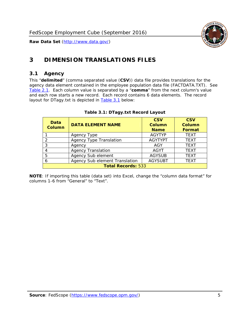

# <span id="page-5-0"></span>**3 DIMENSION TRANSLATIONS FILES**

#### <span id="page-5-1"></span>*3.1 Agency*

<span id="page-5-3"></span><span id="page-5-2"></span>This "**delimited**" (comma separated value (**CSV**)) data file provides translations for the agency data element contained in the employee population data file (FACTDATA.TXT). See [Table 2.1.](#page-4-1) Each column value is separated by a "**comma**" from the next column's value and each row starts a new record. Each record contains 6 data elements. The record layout for DTagy.txt is depicted in [Table 3.1](#page-5-3) below:

| Data<br>Column            | <b>DATA ELEMENT NAME</b>       | <b>CSV</b><br><b>Column</b><br><b>Name</b> | <b>CSV</b><br>Column<br><b>Format</b> |
|---------------------------|--------------------------------|--------------------------------------------|---------------------------------------|
|                           | Agency Type                    | <b>AGYTYP</b>                              | <b>TEXT</b>                           |
|                           | <b>Agency Type Translation</b> | <b>AGYTYPT</b>                             | <b>TEXT</b>                           |
| 3                         | Agency                         | AGY                                        | <b>TEXT</b>                           |
|                           | <b>Agency Translation</b>      | <b>AGYT</b>                                | <b>TEXT</b>                           |
| -5                        | Agency Sub element             | <b>AGYSUB</b>                              | <b>TEXT</b>                           |
|                           | Agency Sub element Translation | <b>AGYSUBT</b>                             | <b>TEXT</b>                           |
| <b>Total Records: 533</b> |                                |                                            |                                       |

#### **Table 3.1: DTagy.txt Record Layout**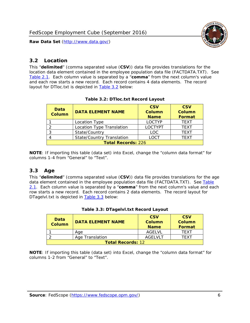

# <span id="page-6-0"></span>*3.2 Location*

<span id="page-6-4"></span><span id="page-6-2"></span>This "**delimited**" (comma separated value (**CSV**)) data file provides translations for the location data element contained in the employee population data file (FACTDATA.TXT). See [Table 2.1.](#page-4-1) Each column value is separated by a "**comma**" from the next column's value and each row starts a new record. Each record contains 4 data elements. The record layout for DTloc.txt is depicted in [Table 3.2](#page-6-4) below:

| Data<br><b>Column</b>     | <b>DATA ELEMENT NAME</b>         | <b>CSV</b><br>Column<br><b>Name</b> | <b>CSV</b><br><b>Column</b><br><b>Format</b> |
|---------------------------|----------------------------------|-------------------------------------|----------------------------------------------|
|                           | Location Type                    | <b>LOCTYP</b>                       | <b>TEXT</b>                                  |
|                           | Location Type Translation        | <b>LOCTYPT</b>                      | <b>TEXT</b>                                  |
| ົ                         | State/Country                    | <b>LOC</b>                          | <b>TFXT</b>                                  |
|                           | <b>State/Country Translation</b> | LOCT                                | <b>TFXT</b>                                  |
| <b>Total Records: 226</b> |                                  |                                     |                                              |

#### **Table 3.2: DTloc.txt Record Layout**

**NOTE**: If importing this table (data set) into Excel, change the "column data format" for columns 1-4 from "General" to "Text".

#### <span id="page-6-1"></span>*3.3 Age*

<span id="page-6-5"></span><span id="page-6-3"></span>This "**delimited**" (comma separated value (**CSV**)) data file provides translations for the age data element contained in the employee population data file (FACTDATA.TXT). See [Table](#page-4-1) [2.1](#page-4-1). Each column value is separated by a "**comma**" from the next column's value and each row starts a new record. Each record contains 2 data elements. The record layout for DTagelvl.txt is depicted in **[Table 3.3](#page-6-5)** below:

| Data<br>Column           | <b>DATA ELEMENT NAME</b> | <b>CSV</b><br>Column<br><b>Name</b> | <b>CSV</b><br>Column<br><b>Format</b> |
|--------------------------|--------------------------|-------------------------------------|---------------------------------------|
|                          | Aae                      | AGFI VI                             | TFXT                                  |
|                          | Age Translation          | AGFI VI T                           | TFXT                                  |
| <b>Total Records: 12</b> |                          |                                     |                                       |

#### **Table 3.3: DTagelvl.txt Record Layout**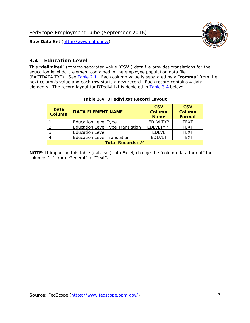

# <span id="page-7-0"></span>*3.4 Education Level*

<span id="page-7-2"></span><span id="page-7-1"></span>This "**delimited**" (comma separated value (**CSV**)) data file provides translations for the education level data element contained in the employee population data file (FACTDATA.TXT). See [Table 2.1](#page-4-1). Each column value is separated by a "**comma**" from the next column's value and each row starts a new record. Each record contains 4 data elements. The record layout for DTedlvl.txt is depicted in [Table 3.4](#page-7-2) below:

| Data<br><b>Column</b>    | <b>DATA ELEMENT NAME</b>                | <b>CSV</b><br><b>Column</b><br><b>Name</b> | <b>CSV</b><br><b>Column</b><br><b>Format</b> |
|--------------------------|-----------------------------------------|--------------------------------------------|----------------------------------------------|
|                          | <b>Education Level Type</b>             | <b>EDLVLTYP</b>                            | <b>TEXT</b>                                  |
|                          | <b>Education Level Type Translation</b> | <b>EDLVLTYPT</b>                           | <b>TEXT</b>                                  |
|                          | <b>Education Level</b>                  | <b>EDLVL</b>                               | <b>TEXT</b>                                  |
|                          | <b>Education Level Translation</b>      | <b>EDLVLT</b>                              | <b>TEXT</b>                                  |
| <b>Total Records: 24</b> |                                         |                                            |                                              |

#### **Table 3.4: DTedlvl.txt Record Layout**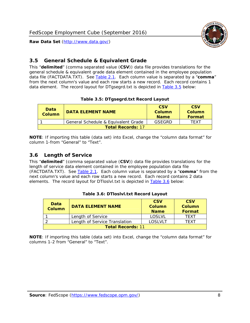

# <span id="page-8-0"></span>*3.5 General Schedule & Equivalent Grade*

This "**delimited**" (comma separated value (**CSV**)) data file provides translations for the general schedule & equivalent grade data element contained in the employee population data file (FACTDATA.TXT). See [Table 2.1](#page-4-1). Each column value is separated by a "**comma**" from the next column's value and each row starts a new record. Each record contains 1 data element. The record layout for DTgsegrd.txt is depicted in [Table 3.5](#page-8-4) below:

#### **Table 3.5: DTgsegrd.txt Record Layout**

<span id="page-8-4"></span><span id="page-8-2"></span>

| Data<br>Column           | DATA FI FMFNT NAMF                  | <b>CSV</b><br>Column<br><b>Name</b> | <b>CSV</b><br>Column<br><b>Format</b> |
|--------------------------|-------------------------------------|-------------------------------------|---------------------------------------|
|                          | General Schedule & Equivalent Grade | GSFGRD                              | TFXT                                  |
| <b>Total Records: 17</b> |                                     |                                     |                                       |

**NOTE**: If importing this table (data set) into Excel, change the "column data format" for column 1-from "General" to "Text".

#### <span id="page-8-1"></span>*3.6 Length of Service*

<span id="page-8-5"></span>This "**delimited**" (comma separated value (**CSV**)) data file provides translations for the length of service data element contained in the employee population data file (FACTDATA.TXT). See [Table 2.1](#page-4-1). Each column value is separated by a "**comma**" from the next column's value and each row starts a new record. Each record contains 2 data elements. The record layout for DTloslvl.txt is depicted in [Table 3.6](#page-8-5) below:

<span id="page-8-3"></span>

| Data<br><b>Column</b>    | <b>DATA ELEMENT NAME</b>      | <b>CSV</b><br><b>Column</b><br><b>Name</b> | <b>CSV</b><br>Column<br>Format |
|--------------------------|-------------------------------|--------------------------------------------|--------------------------------|
|                          | Length of Service             | LOSLVL                                     | TFXT                           |
|                          | Length of Service Translation | LOSI VLT                                   | TFXT                           |
| <b>Total Records: 11</b> |                               |                                            |                                |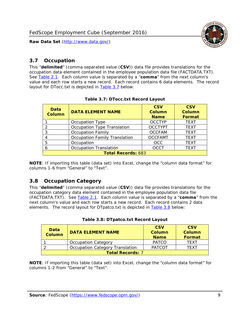

### <span id="page-9-0"></span>*3.7 Occupation*

<span id="page-9-4"></span>This "**delimited**" (comma separated value (**CSV**)) data file provides translations for the occupation data element contained in the employee population data file (FACTDATA.TXT). See [Table 2.1](#page-4-1). Each column value is separated by a "**comma**" from the next column's value and each row starts a new record. Each record contains 6 data elements. The record layout for DTocc.txt is depicted in [Table 3.7](#page-9-4) below:

<span id="page-9-2"></span>

| Data<br><b>Column</b>     | <b>DATA ELEMENT NAME</b>             | <b>CSV</b><br>Column<br><b>Name</b> | <b>CSV</b><br>Column<br><b>Format</b> |
|---------------------------|--------------------------------------|-------------------------------------|---------------------------------------|
|                           | Occupation Type                      | <b>OCCTYP</b>                       | <b>TEXT</b>                           |
|                           | Occupation Type Translation          | <b>OCCTYPT</b>                      | <b>TEXT</b>                           |
| ર                         | <b>Occupation Family</b>             | <b>OCCFAM</b>                       | <b>TEXT</b>                           |
|                           | <b>Occupation Family Translation</b> | <b>OCCFAMT</b>                      | <b>TEXT</b>                           |
| 5                         | Occupation                           | <b>OCC</b>                          | <b>TEXT</b>                           |
|                           | <b>Occupation Translation</b>        | <b>OCCT</b>                         | <b>TEXT</b>                           |
| <b>Total Records: 683</b> |                                      |                                     |                                       |

#### **Table 3.7: DTocc.txt Record Layout**

**NOTE**: If importing this table (data set) into Excel, change the "column data format" for columns 1-6 from "General" to "Text".

#### <span id="page-9-1"></span>*3.8 Occupation Category*

<span id="page-9-5"></span>This "**delimited**" (comma separated value (**CSV**)) data file provides translations for the occupation category data element contained in the employee population data file (FACTDATA.TXT). See [Table 2.1](#page-4-1). Each column value is separated by a "**comma**" from the next column's value and each row starts a new record. Each record contains 2 data elements. The record layout for DTpatco.txt is depicted in [Table 3.8](#page-9-5) below:

<span id="page-9-3"></span>

| Data<br><b>Column</b>   | <b>DATA ELEMENT NAME</b>        | <b>CSV</b><br>Column<br><b>Name</b> | <b>CSV</b><br>Column<br>Format |
|-------------------------|---------------------------------|-------------------------------------|--------------------------------|
|                         | <b>Occupation Category</b>      | <b>PATCO</b>                        | TFXT                           |
|                         | Occupation Category Translation | <b>PATCOT</b>                       | TFXT                           |
| <b>Total Records: 7</b> |                                 |                                     |                                |

| Table 3.8: DTpatco.txt Record Layout |  |
|--------------------------------------|--|
|--------------------------------------|--|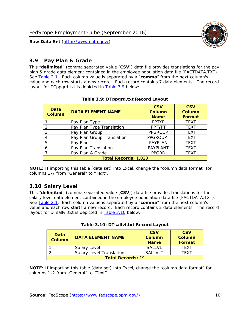

# <span id="page-10-0"></span>*3.9 Pay Plan & Grade*

<span id="page-10-4"></span>This "**delimited**" (comma separated value (**CSV**)) data file provides translations for the pay plan & grade data element contained in the employee population data file (FACTDATA.TXT). See [Table 2.1](#page-4-1). Each column value is separated by a "**comma**" from the next column's value and each row starts a new record. Each record contains 7 data elements. The record layout for DTppgrd.txt is depicted in **Table 3.9** below:

<span id="page-10-2"></span>

| Data<br><b>Column</b>       | <b>DATA ELEMENT NAME</b>   | <b>CSV</b><br>Column<br><b>Name</b> | <b>CSV</b><br>Column<br><b>Format</b> |  |
|-----------------------------|----------------------------|-------------------------------------|---------------------------------------|--|
|                             | Pay Plan Type              | <b>PPTYP</b>                        | <b>TEXT</b>                           |  |
| $\mathcal{P}$               | Pay Plan Type Translation  | <b>PPTYPT</b>                       | <b>TEXT</b>                           |  |
| 3                           | Pay Plan Group             | <b>PPGROUP</b>                      | <b>TEXT</b>                           |  |
|                             | Pay Plan Group Translation | <b>PPGROUPT</b>                     | <b>TEXT</b>                           |  |
| 5                           | Pay Plan                   | <b>PAYPLAN</b>                      | <b>TEXT</b>                           |  |
| 6                           | Pay Plan Translation       | PAYPLANT                            | <b>TEXT</b>                           |  |
|                             | Pay Plan & Grade           | <b>PPGRD</b>                        | <b>TEXT</b>                           |  |
| <b>Total Records: 1,023</b> |                            |                                     |                                       |  |

#### **Table 3.9: DTppgrd.txt Record Layout**

**NOTE**: If importing this table (data set) into Excel, change the "column data format" for columns 1-7 from "General" to "Text".

# <span id="page-10-1"></span>*3.10 Salary Level*

<span id="page-10-5"></span><span id="page-10-3"></span>This "**delimited**" (comma separated value (**CSV**)) data file provides translations for the salary level data element contained in the employee population data file (FACTDATA.TXT). See [Table 2.1](#page-4-1). Each column value is separated by a "**comma**" from the next column's value and each row starts a new record. Each record contains 2 data elements. The record layout for DTsallvl.txt is depicted in [Table 3.10](#page-10-5) below:

| <b>Data</b><br>Column    | <b>DATA ELEMENT NAME</b>        | <b>CSV</b><br>Column<br><b>Name</b> | <b>CSV</b><br>Column<br><b>Format</b> |  |
|--------------------------|---------------------------------|-------------------------------------|---------------------------------------|--|
|                          | Salary Level                    | <b>SALLVL</b>                       | TFXT                                  |  |
|                          | <b>Salary Level Translation</b> | SAI I VI T                          | TEXT                                  |  |
| <b>Total Records: 19</b> |                                 |                                     |                                       |  |

| Table 3.10: DTsallvl.txt Record Layout |  |
|----------------------------------------|--|
|----------------------------------------|--|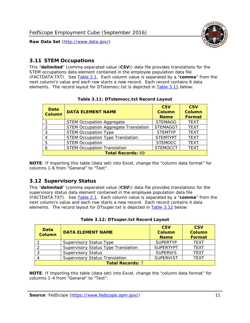

### <span id="page-11-0"></span>*3.11 STEM Occupations*

<span id="page-11-4"></span>This "**delimited**" (comma separated value (**CSV**)) data file provides translations for the STEM occupations data element contained in the employee population data file (FACTDATA.TXT). See [Table 2.1](#page-4-1). Each column value is separated by a "**comma**" from the next column's value and each row starts a new record. Each record contains 6 data elements. The record layout for DTstemocc.txt is depicted in [Table 3.11](#page-11-4) below:

<span id="page-11-2"></span>

| <b>Data</b><br><b>Column</b> | <b>DATA ELEMENT NAME</b>                     | <b>CSV</b><br>Column<br><b>Name</b> | <b>CSV</b><br><b>Column</b><br><b>Format</b> |  |
|------------------------------|----------------------------------------------|-------------------------------------|----------------------------------------------|--|
|                              | <b>STEM Occupation Aggregate</b>             | <b>STEMAGG</b>                      | <b>TEXT</b>                                  |  |
|                              | <b>STEM Occupation Aggregate Translation</b> | <b>STEMAGGT</b>                     | <b>TEXT</b>                                  |  |
| 3                            | <b>STEM Occupation Type</b>                  | <b>STEMTYP</b>                      | <b>TEXT</b>                                  |  |
|                              | <b>STEM Occupation Type Translation</b>      | <b>STEMTYPT</b>                     | <b>TEXT</b>                                  |  |
| 5                            | <b>STEM Occupation</b>                       | <b>STEMOCC</b>                      | <b>TEXT</b>                                  |  |
|                              | <b>STEM Occupation Translation</b>           | <b>STEMOCCT</b>                     | <b>TEXT</b>                                  |  |
| <b>Total Records: 69</b>     |                                              |                                     |                                              |  |

#### **Table 3.11: DTstemocc.txt Record Layout**

**NOTE**: If importing this table (data set) into Excel, change the "column data format" for columns 1-6 from "General" to "Text".

# <span id="page-11-1"></span>*3.12 Supervisory Status*

This "**delimited**" (comma separated value (**CSV**)) data file provides translations for the supervisory status data element contained in the employee population data file (FACTDATA.TXT). See [Table 2.1](#page-4-1). Each column value is separated by a "**comma**" from the next column's value and each row starts a new record. Each record contains 4 data elements. The record layout for DTsuper.txt is depicted in [Table 3.12](#page-11-5) below:

<span id="page-11-5"></span><span id="page-11-3"></span>

| Data<br><b>Column</b>   | <b>DATA ELEMENT NAME</b>              | <b>CSV</b><br><b>Column</b><br><b>Name</b> | <b>CSV</b><br><b>Column</b><br><b>Format</b> |  |
|-------------------------|---------------------------------------|--------------------------------------------|----------------------------------------------|--|
|                         | <b>Supervisory Status Type</b>        | <b>SUPERTYP</b>                            | <b>TEXT</b>                                  |  |
|                         | Supervisory Status Type Translation   | <b>SUPERTYPT</b>                           | <b>TEXT</b>                                  |  |
|                         | <b>Supervisory Status</b>             | <b>SUPERVIS</b>                            | <b>TEXT</b>                                  |  |
|                         | <b>Supervisory Status Translation</b> | <b>SUPERVIST</b>                           | <b>TEXT</b>                                  |  |
| <b>Total Records: 7</b> |                                       |                                            |                                              |  |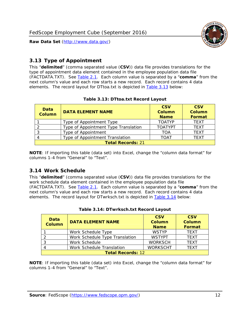

# <span id="page-12-0"></span>*3.13 Type of Appointment*

This "**delimited**" (comma separated value (**CSV**)) data file provides translations for the type of appointment data element contained in the employee population data file (FACTDATA.TXT). See [Table 2.1](#page-4-1). Each column value is separated by a "**comma**" from the next column's value and each row starts a new record. Each record contains 4 data elements. The record layout for DTtoa.txt is depicted in [Table 3.13](#page-12-4) below:

<span id="page-12-4"></span><span id="page-12-2"></span>

| Data<br><b>Column</b>    | <b>DATA ELEMENT NAME</b>             | <b>CSV</b><br><b>Column</b><br><b>Name</b> | <b>CSV</b><br><b>Column</b><br>Format |  |
|--------------------------|--------------------------------------|--------------------------------------------|---------------------------------------|--|
|                          | Type of Appointment Type             | <b>TOATYP</b>                              | <b>TFXT</b>                           |  |
|                          | Type of Appointment Type Translation | <b>TOATYPT</b>                             | <b>TEXT</b>                           |  |
|                          | Type of Appointment                  | <b>TOA</b>                                 | <b>TEXT</b>                           |  |
|                          | Type of Appointment Translation      | <b>TOAT</b>                                | <b>TFXT</b>                           |  |
| <b>Total Records: 21</b> |                                      |                                            |                                       |  |

#### **Table 3.13: DTtoa.txt Record Layout**

**NOTE**: If importing this table (data set) into Excel, change the "column data format" for columns 1-4 from "General" to "Text".

#### <span id="page-12-1"></span>*3.14 Work Schedule*

<span id="page-12-5"></span>This "**delimited**" (comma separated value (**CSV**)) data file provides translations for the work schedule data element contained in the employee population data file (FACTDATA.TXT). See [Table 2.1](#page-4-1). Each column value is separated by a "**comma**" from the next column's value and each row starts a new record. Each record contains 4 data elements. The record layout for DTwrksch.txt is depicted in [Table 3.14](#page-12-5) below:

<span id="page-12-3"></span>

| Data<br>Column           | <b>DATA ELEMENT NAME</b>       | <b>CSV</b><br><b>Column</b><br><b>Name</b> | <b>CSV</b><br>Column<br>Format |  |
|--------------------------|--------------------------------|--------------------------------------------|--------------------------------|--|
|                          | Work Schedule Type             | <b>WSTYP</b>                               | <b>TEXT</b>                    |  |
| 2                        | Work Schedule Type Translation | <b>WSTYPT</b>                              | <b>TFXT</b>                    |  |
| 3                        | Work Schedule                  | <b>WORKSCH</b>                             | <b>TFXT</b>                    |  |
|                          | Work Schedule Translation      | <b>WORKSCHT</b>                            | <b>TFXT</b>                    |  |
| <b>Total Records: 12</b> |                                |                                            |                                |  |

|  | Table 3.14: DTwrksch.txt Record Layout |  |  |
|--|----------------------------------------|--|--|
|  |                                        |  |  |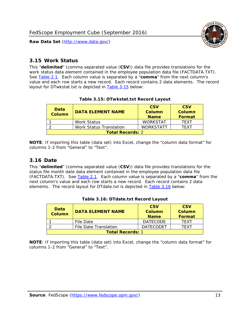

#### <span id="page-13-0"></span>*3.15 Work Status*

<span id="page-13-4"></span><span id="page-13-2"></span>This "**delimited**" (comma separated value (**CSV**)) data file provides translations for the work status data element contained in the employee population data file (FACTDATA.TXT). See [Table 2.1](#page-4-1). Each column value is separated by a "**comma**" from the next column's value and each row starts a new record. Each record contains 2 data elements. The record layout for DTwkstat.txt is depicted in [Table 3.15](#page-13-4) below:

| Data<br><b>Column</b>   | <b>DATA ELEMENT NAME</b> | <b>CSV</b><br>Column<br><b>Name</b> | <b>CSV</b><br>Column<br><b>Format</b> |
|-------------------------|--------------------------|-------------------------------------|---------------------------------------|
|                         | <b>Work Status</b>       | <b>WORKSTAT</b>                     | TFXT                                  |
|                         | Work Status Translation  | <b>WORKSTATT</b>                    | TFXT                                  |
| <b>Total Records: 2</b> |                          |                                     |                                       |

#### **Table 3.15: DTwkstat.txt Record Layout**

**NOTE**: If importing this table (data set) into Excel, change the "column data format" for columns 1-2 from "General" to "Text".

#### <span id="page-13-1"></span>*3.16 Date*

<span id="page-13-5"></span><span id="page-13-3"></span>This "**delimited**" (comma separated value (**CSV**)) data file provides translations for the status file month date data element contained in the employee population data file (FACTDATA.TXT). See [Table 2.1](#page-4-1). Each column value is separated by a "**comma**" from the next column's value and each row starts a new record. Each record contains 2 data elements. The record layout for DTdate.txt is depicted in [Table 3.16](#page-13-5) below:

| Data<br><b>Column</b>   | <b>DATA ELEMENT NAME</b> | <b>CSV</b><br>Column<br><b>Name</b> | <b>CSV</b><br>Column<br><b>Format</b> |  |
|-------------------------|--------------------------|-------------------------------------|---------------------------------------|--|
|                         | File Date                | <b>DATECODE</b>                     | TFXT                                  |  |
|                         | File Date Translation    | <b>DATECODET</b>                    | TFXT                                  |  |
| <b>Total Records: 1</b> |                          |                                     |                                       |  |

**Table 3.16: DTdate.txt Record Layout**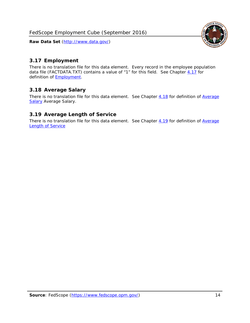

# <span id="page-14-0"></span>*3.17 Employment*

There is no translation file for this data element. Every record in the employee population data file (FACTDATA.TXT) contains a value of "1" for this field. See Chapter [4.17](#page-16-8) for definition of **Employment**.

# <span id="page-14-1"></span>*3.18 Average Salary*

There is no translation file for this data element. See Chapter [4.18](#page-17-1) for definition of [Average](#page-17-1) **[Salary](#page-17-1) [Average Salary.](#page-17-1)** 

# <span id="page-14-2"></span>*3.19 Average Length of Service*

There is no translation file for this data element. See Chapter [4.19](#page-17-2) for definition of [Average](#page-17-2) Length of Service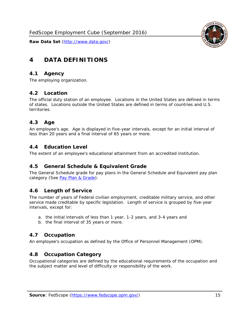

# <span id="page-15-0"></span>**4 DATA DEFINITIONS**

#### <span id="page-15-1"></span>*4.1 Agency*

The employing organization.

#### <span id="page-15-2"></span>*4.2 Location*

The official duty station of an employee. Locations in the United States are defined in terms of states. Locations outside the United States are defined in terms of countries and U.S. territories.

#### <span id="page-15-3"></span>*4.3 Age*

An employee's age. Age is displayed in five-year intervals, except for an initial interval of less than 20 years and a final interval of 65 years or more.

#### <span id="page-15-4"></span>*4.4 Education Level*

The extent of an employee's educational attainment from an accredited institution.

#### <span id="page-15-5"></span>*4.5 General Schedule & Equivalent Grade*

The General Schedule grade for pay plans in the General Schedule and Equivalent pay plan category (See [Pay Plan & Grade](#page-16-0)).

#### <span id="page-15-6"></span>*4.6 Length of Service*

The number of years of Federal civilian employment, creditable military service, and other service made creditable by specific legislation. Length of service is grouped by five-year intervals, except for:

- a. the initial intervals of less than 1 year, 1-2 years, and 3-4 years and
- b. the final interval of 35 years or more.

#### <span id="page-15-7"></span>*4.7 Occupation*

An employee's occupation as defined by the Office of Personnel Management (OPM).

#### <span id="page-15-8"></span>*4.8 Occupation Category*

Occupational categories are defined by the educational requirements of the occupation and the subject matter and level of difficulty or responsibility of the work.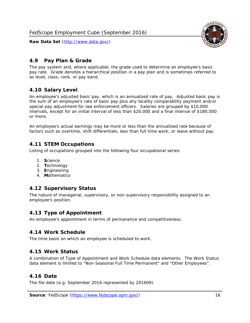<span id="page-16-0"></span>

The pay system and, where applicable, the grade used to determine an employee's basic pay rate. Grade denotes a hierarchical position in a pay plan and is sometimes referred to as level, class, rank, or pay band.

# <span id="page-16-1"></span>*4.10 Salary Level*

An employee's adjusted basic pay, which is an annualized rate of pay. Adjusted basic pay is the sum of an employee's rate of basic pay plus any locality comparability payment and/or special pay adjustment for law enforcement officers. Salaries are grouped by \$10,000 intervals, except for an initial interval of less than \$20,000 and a final interval of \$180,000 or more.

An employee's actual earnings may be more or less than the annualized rate because of factors such as overtime, shift differentials, less than full time work, or leave without pay.

# <span id="page-16-2"></span>*4.11 STEM Occupations*

Listing of occupations grouped into the following four occupational series:

- 1. **S**cience
- 2. **T**echnology
- 3. **E**ngineering
- 4. **M**athematics

#### <span id="page-16-3"></span>*4.12 Supervisory Status*

The nature of managerial, supervisory, or non-supervisory responsibility assigned to an employee's position.

#### <span id="page-16-4"></span>*4.13 Type of Appointment*

An employee's appointment in terms of permanence and competitiveness.

#### <span id="page-16-5"></span>*4.14 Work Schedule*

The time basis on which an employee is scheduled to work.

#### <span id="page-16-6"></span>*4.15 Work Status*

A combination of Type of Appointment and Work Schedule data elements. The Work Status data element is limited to "Non-Seasonal Full Time Permanent" and "Other Employees".

#### <span id="page-16-7"></span>*4.16 Date*

<span id="page-16-8"></span>The file date (e.g. September 2016 represented by 201609).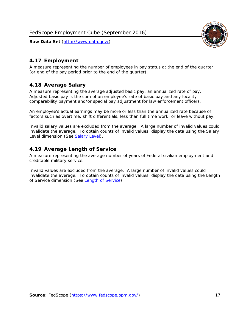

# <span id="page-17-0"></span>*4.17 Employment*

A measure representing the number of employees in pay status at the end of the quarter (or end of the pay period prior to the end of the quarter).

# <span id="page-17-1"></span>*4.18 Average Salary*

A measure representing the average adjusted basic pay, an annualized rate of pay. Adjusted basic pay is the sum of an employee's rate of basic pay and any locality comparability payment and/or special pay adjustment for law enforcement officers.

An employee's actual earnings may be more or less than the annualized rate because of factors such as overtime, shift differentials, less than full time work, or leave without pay.

Invalid salary values are excluded from the average. A large number of invalid values could invalidate the average. To obtain counts of invalid values, display the data using the Salary Level dimension (See [Salary Level\)](#page-16-1).

# <span id="page-17-2"></span>*4.19 Average Length of Service*

A measure representing the average number of years of Federal civilian employment and creditable military service.

Invalid values are excluded from the average. A large number of invalid values could invalidate the average. To obtain counts of invalid values, display the data using the Length of Service dimension (See [Length of Service](#page-15-6)).